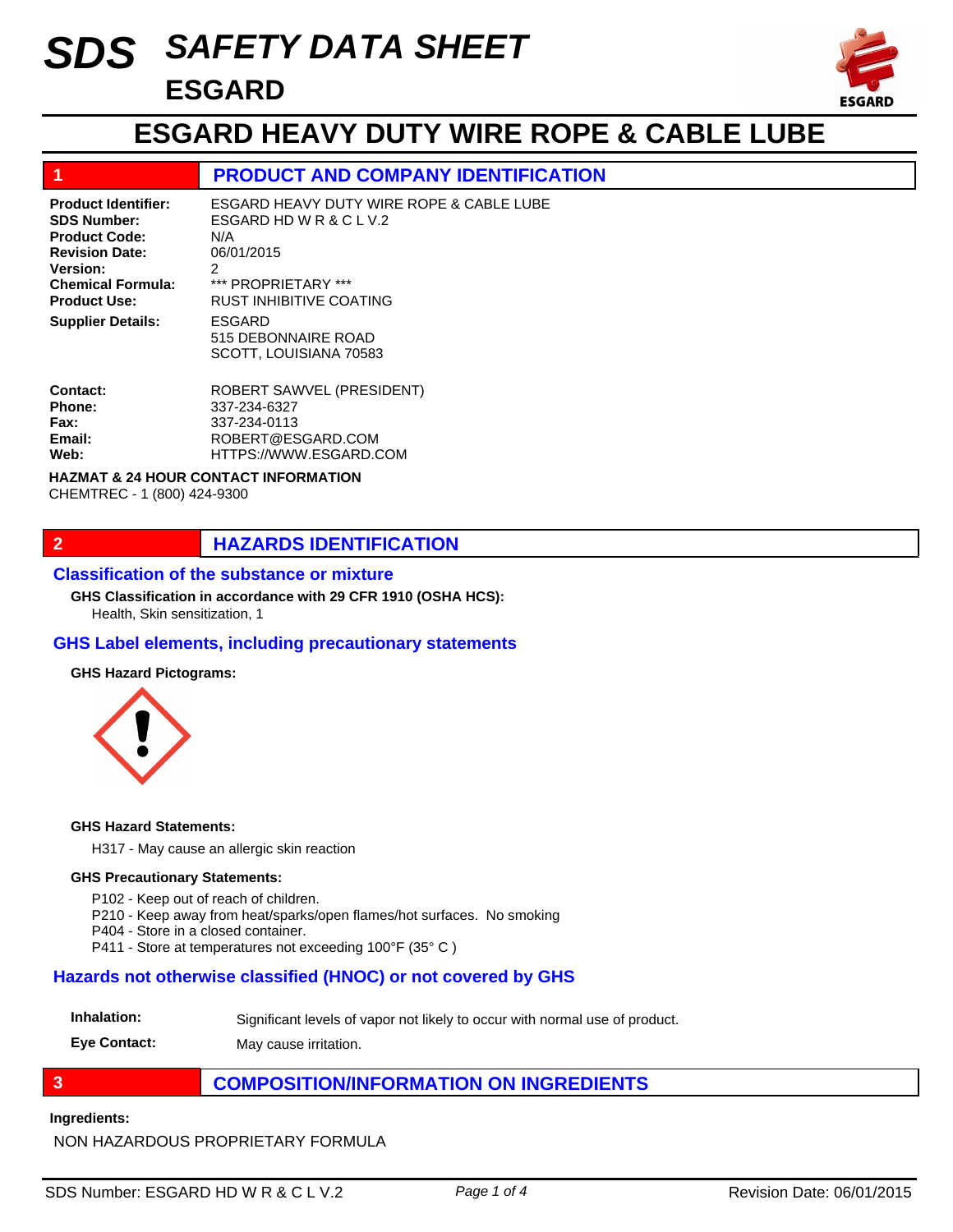# *SAFETY DATA SHEET SDS* **ESGARD**



## **ESGARD HEAVY DUTY WIRE ROPE & CABLE LUBE**

## **1 PRODUCT AND COMPANY IDENTIFICATION**

ESGARD 515 DEBONNAIRE ROAD ESGARD HEAVY DUTY WIRE ROPE & CABLE LUBE ESGARD HD W R & C L V.2 N/A 06/01/2015 2 \*\*\* PROPRIETARY \*\*\* RUST INHIBITIVE COATING **Product Identifier: SDS Number: Product Code: Revision Date: Version: Chemical Formula: Product Use: Supplier Details:**

SCOTT, LOUISIANA 70583

| Contact:    | ROBERT SAWVEL (PRESIDENT) |
|-------------|---------------------------|
| Phone:      | 337-234-6327              |
| <b>Fax:</b> | 337-234-0113              |
| Email:      | ROBERT@ESGARD.COM         |
| Web:        | HTTPS://WWW.ESGARD.COM    |
|             |                           |

#### **HAZMAT & 24 HOUR CONTACT INFORMATION**

CHEMTREC - 1 (800) 424-9300

## **2 HAZARDS IDENTIFICATION**

#### **Classification of the substance or mixture**

**GHS Classification in accordance with 29 CFR 1910 (OSHA HCS):**

Health, Skin sensitization, 1

#### **GHS Label elements, including precautionary statements**

#### **GHS Hazard Pictograms:**



#### **GHS Hazard Statements:**

H317 - May cause an allergic skin reaction

#### **GHS Precautionary Statements:**

P102 - Keep out of reach of children.

- P210 Keep away from heat/sparks/open flames/hot surfaces. No smoking
- P404 Store in a closed container.
- P411 Store at temperatures not exceeding 100°F (35° C )

#### **Hazards not otherwise classified (HNOC) or not covered by GHS**

#### **Inhalation:** Significant levels of vapor not likely to occur with normal use of product.

**Eye Contact:** May cause irritation.

## **3 COMPOSITION/INFORMATION ON INGREDIENTS**

#### **Ingredients:**

NON HAZARDOUS PROPRIETARY FORMULA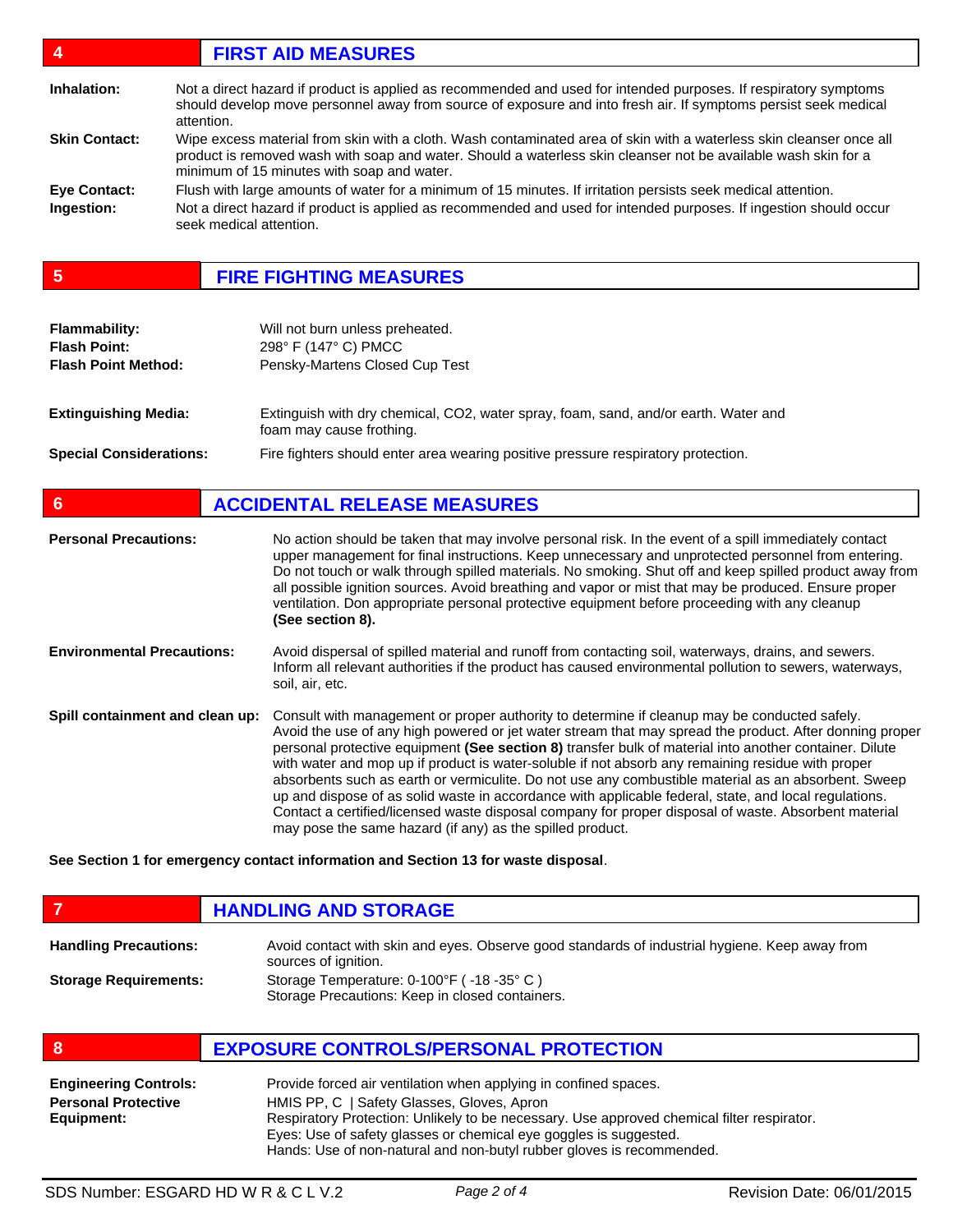| $\mathbf{4}$         | <b>FIRST AID MEASURES</b>                                                                                                                                                                                                                                                           |
|----------------------|-------------------------------------------------------------------------------------------------------------------------------------------------------------------------------------------------------------------------------------------------------------------------------------|
| Inhalation:          | Not a direct hazard if product is applied as recommended and used for intended purposes. If respiratory symptoms<br>should develop move personnel away from source of exposure and into fresh air. If symptoms persist seek medical<br>attention.                                   |
| <b>Skin Contact:</b> | Wipe excess material from skin with a cloth. Wash contaminated area of skin with a waterless skin cleanser once all<br>product is removed wash with soap and water. Should a waterless skin cleanser not be available wash skin for a<br>minimum of 15 minutes with soap and water. |
| <b>Eve Contact:</b>  | Flush with large amounts of water for a minimum of 15 minutes. If irritation persists seek medical attention.                                                                                                                                                                       |
| Ingestion:           | Not a direct hazard if product is applied as recommended and used for intended purposes. If ingestion should occur<br>seek medical attention.                                                                                                                                       |

**5 FIRE FIGHTING MEASURES**

| <b>Flammability:</b><br><b>Flash Point:</b><br><b>Flash Point Method:</b> | Will not burn unless preheated.<br>298° F (147° C) PMCC<br>Pensky-Martens Closed Cup Test                       |
|---------------------------------------------------------------------------|-----------------------------------------------------------------------------------------------------------------|
| <b>Extinguishing Media:</b>                                               | Extinguish with dry chemical, CO2, water spray, foam, sand, and/or earth. Water and<br>foam may cause frothing. |
| <b>Special Considerations:</b>                                            | Fire fighters should enter area wearing positive pressure respiratory protection.                               |

| $6\phantom{1}6$                   | <b>ACCIDENTAL RELEASE MEASURES</b>                                                                                                                                                                                                                                                                                                                                                                                                                                                                                                                                                                                                                                                                                                                                                                          |
|-----------------------------------|-------------------------------------------------------------------------------------------------------------------------------------------------------------------------------------------------------------------------------------------------------------------------------------------------------------------------------------------------------------------------------------------------------------------------------------------------------------------------------------------------------------------------------------------------------------------------------------------------------------------------------------------------------------------------------------------------------------------------------------------------------------------------------------------------------------|
| <b>Personal Precautions:</b>      | No action should be taken that may involve personal risk. In the event of a spill immediately contact<br>upper management for final instructions. Keep unnecessary and unprotected personnel from entering.<br>Do not touch or walk through spilled materials. No smoking. Shut off and keep spilled product away from<br>all possible ignition sources. Avoid breathing and vapor or mist that may be produced. Ensure proper<br>ventilation. Don appropriate personal protective equipment before proceeding with any cleanup<br>(See section 8).                                                                                                                                                                                                                                                         |
| <b>Environmental Precautions:</b> | Avoid dispersal of spilled material and runoff from contacting soil, waterways, drains, and sewers.<br>Inform all relevant authorities if the product has caused environmental pollution to sewers, waterways,<br>soil, air, etc.                                                                                                                                                                                                                                                                                                                                                                                                                                                                                                                                                                           |
| Spill containment and clean up:   | Consult with management or proper authority to determine if cleanup may be conducted safely.<br>Avoid the use of any high powered or jet water stream that may spread the product. After donning proper<br>personal protective equipment (See section 8) transfer bulk of material into another container. Dilute<br>with water and mop up if product is water-soluble if not absorb any remaining residue with proper<br>absorbents such as earth or vermiculite. Do not use any combustible material as an absorbent. Sweep<br>up and dispose of as solid waste in accordance with applicable federal, state, and local regulations.<br>Contact a certified/licensed waste disposal company for proper disposal of waste. Absorbent material<br>may pose the same hazard (if any) as the spilled product. |

**See Section 1 for emergency contact information and Section 13 for waste disposal**.

|                              | <b>HANDLING AND STORAGE</b>                                                                                            |
|------------------------------|------------------------------------------------------------------------------------------------------------------------|
| <b>Handling Precautions:</b> | Avoid contact with skin and eyes. Observe good standards of industrial hygiene. Keep away from<br>sources of ignition. |
| <b>Storage Requirements:</b> | Storage Temperature: 0-100°F (-18-35°C)<br>Storage Precautions: Keep in closed containers.                             |

**8 EXPOSURE CONTROLS/PERSONAL PROTECTION**

| <b>Engineering Controls:</b>                                                                             | Provide forced air ventilation when applying in confined spaces.      |  |
|----------------------------------------------------------------------------------------------------------|-----------------------------------------------------------------------|--|
| <b>Personal Protective</b>                                                                               | HMIS PP, C   Safety Glasses, Gloves, Apron                            |  |
| Respiratory Protection: Unlikely to be necessary. Use approved chemical filter respirator.<br>Equipment: |                                                                       |  |
|                                                                                                          | Eyes: Use of safety glasses or chemical eye goggles is suggested.     |  |
|                                                                                                          | Hands: Use of non-natural and non-butyl rubber gloves is recommended. |  |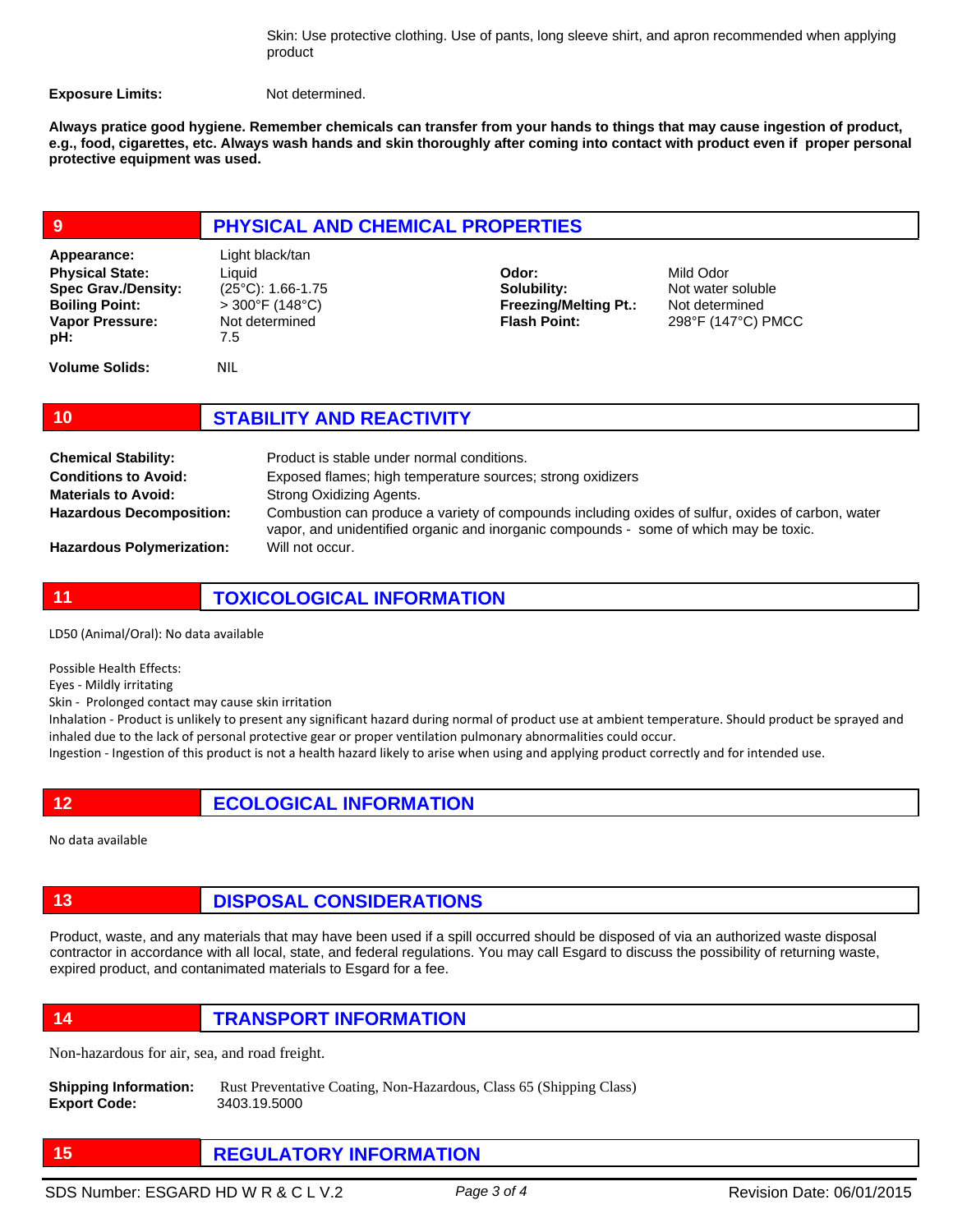Skin: Use protective clothing. Use of pants, long sleeve shirt, and apron recommended when applying product

**Exposure Limits:** Not determined.

**Always pratice good hygiene. Remember chemicals can transfer from your hands to things that may cause ingestion of product, e.g., food, cigarettes, etc. Always wash hands and skin thoroughly after coming into contact with product even if proper personal protective equipment was used.** 

| 9                                                                                                                      | PHYSICAL AND CHEMICAL PROPERTIES                                                                              |                                                                             |                                                                        |  |
|------------------------------------------------------------------------------------------------------------------------|---------------------------------------------------------------------------------------------------------------|-----------------------------------------------------------------------------|------------------------------------------------------------------------|--|
| Appearance:<br><b>Physical State:</b><br><b>Spec Grav./Density:</b><br><b>Boiling Point:</b><br>Vapor Pressure:<br>pH: | Light black/tan<br>Liquid<br>$(25^{\circ}C)$ : 1.66-1.75<br>$>300^{\circ}$ F (148°C)<br>Not determined<br>7.5 | Odor:<br>Solubility:<br><b>Freezing/Melting Pt.:</b><br><b>Flash Point:</b> | Mild Odor<br>Not water soluble<br>Not determined<br>298°F (147°C) PMCC |  |
| <b>Volume Solids:</b>                                                                                                  | <b>NIL</b>                                                                                                    |                                                                             |                                                                        |  |
| 10                                                                                                                     | <b>STABILITY AND REACTIVITY</b>                                                                               |                                                                             |                                                                        |  |

Product is stable under normal conditions. Exposed flames; high temperature sources; strong oxidizers Strong Oxidizing Agents. Combustion can produce a variety of compounds including oxides of sulfur, oxides of carbon, water vapor, and unidentified organic and inorganic compounds - some of which may be toxic. Will not occur. **Chemical Stability: Conditions to Avoid: Materials to Avoid: Hazardous Decomposition: Hazardous Polymerization:**

**11 TOXICOLOGICAL INFORMATION**

LD50 (Animal/Oral): No data available

Possible Health Effects:

Eyes - Mildly irritating

Skin - Prolonged contact may cause skin irritation

Inhalation - Product is unlikely to present any significant hazard during normal of product use at ambient temperature. Should product be sprayed and inhaled due to the lack of personal protective gear or proper ventilation pulmonary abnormalities could occur.

Ingestion - Ingestion of this product is not a health hazard likely to arise when using and applying product correctly and for intended use.

**12 ECOLOGICAL INFORMATION** 

No data available

## **13 DISPOSAL CONSIDERATIONS**

Product, waste, and any materials that may have been used if a spill occurred should be disposed of via an authorized waste disposal contractor in accordance with all local, state, and federal regulations. You may call Esgard to discuss the possibility of returning waste, expired product, and contanimated materials to Esgard for a fee.

**14 TRANSPORT INFORMATION**

Non-hazardous for air, sea, and road freight.

**Shipping Information:** Rust Preventative Coating, Non-Hazardous, Class 65 (Shipping Class) **Export Code:** 3403.19.5000

**15 REGULATORY INFORMATION**

SDS Number: ESGARD HD W R & C L V.2 *Page 3 of 4* Revision Date: 06/01/2015